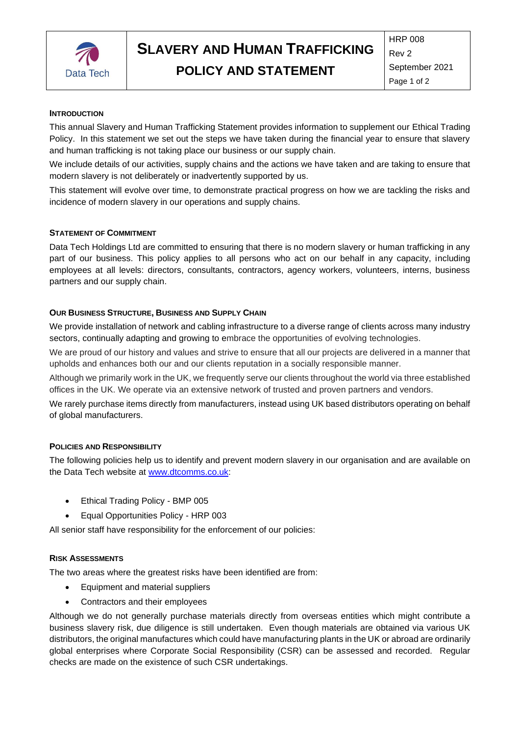

# **SLAVERY AND HUMAN TRAFFICKING**

**POLICY AND STATEMENT**

HRP 008 Rev 2 September 2021 Page 1 of 2

#### **INTRODUCTION**

This annual Slavery and Human Trafficking Statement provides information to supplement our Ethical Trading Policy. In this statement we set out the steps we have taken during the financial year to ensure that slavery and human trafficking is not taking place our business or our supply chain.

We include details of our activities, supply chains and the actions we have taken and are taking to ensure that modern slavery is not deliberately or inadvertently supported by us.

This statement will evolve over time, to demonstrate practical progress on how we are tackling the risks and incidence of modern slavery in our operations and supply chains.

#### **STATEMENT OF COMMITMENT**

Data Tech Holdings Ltd are committed to ensuring that there is no modern slavery or human trafficking in any part of our business. This policy applies to all persons who act on our behalf in any capacity, including employees at all levels: directors, consultants, contractors, agency workers, volunteers, interns, business partners and our supply chain.

#### **OUR BUSINESS STRUCTURE, BUSINESS AND SUPPLY CHAIN**

We provide installation of network and cabling infrastructure to a diverse range of clients across many industry sectors, continually adapting and growing to embrace the opportunities of evolving technologies.

We are proud of our history and values and strive to ensure that all our projects are delivered in a manner that upholds and enhances both our and our clients reputation in a socially responsible manner.

Although we primarily work in the UK, we frequently serve our clients throughout the world via three established offices in the UK. We operate via an extensive network of trusted and proven partners and vendors.

We rarely purchase items directly from manufacturers, instead using UK based distributors operating on behalf of global manufacturers.

#### **POLICIES AND RESPONSIBILITY**

The following policies help us to identify and prevent modern slavery in our organisation and are available on the Data Tech website at [www.dt](http://www.d/)comms.co.uk:

- Ethical Trading Policy BMP 005
- Equal Opportunities Policy HRP 003

All senior staff have responsibility for the enforcement of our policies:

## **RISK ASSESSMENTS**

The two areas where the greatest risks have been identified are from:

- Equipment and material suppliers
- Contractors and their employees

Although we do not generally purchase materials directly from overseas entities which might contribute a business slavery risk, due diligence is still undertaken. Even though materials are obtained via various UK distributors, the original manufactures which could have manufacturing plants in the UK or abroad are ordinarily global enterprises where Corporate Social Responsibility (CSR) can be assessed and recorded. Regular checks are made on the existence of such CSR undertakings.